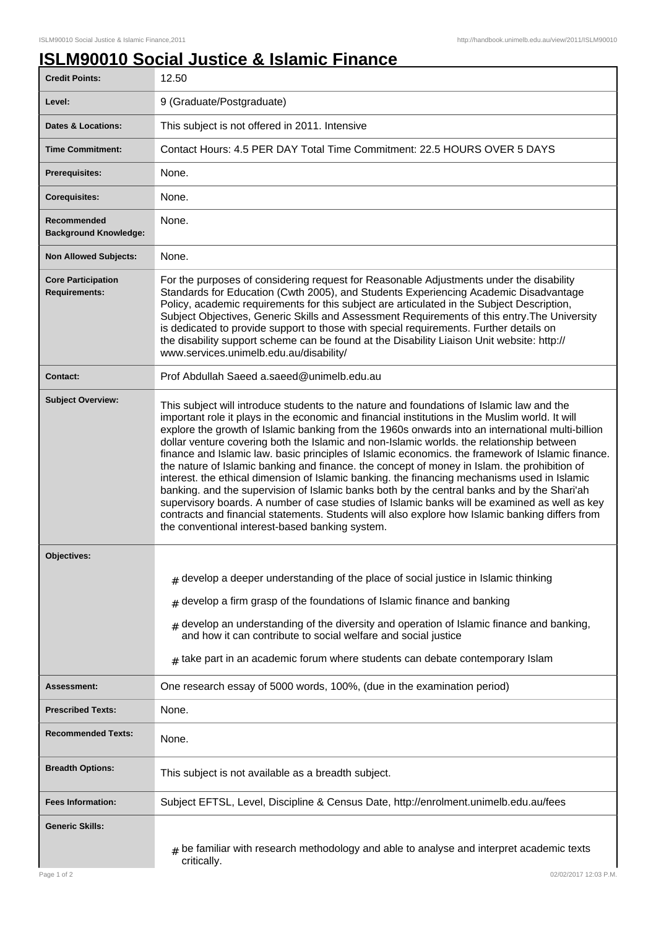## **ISLM90010 Social Justice & Islamic Finance**

| <b>Credit Points:</b>                             | 12.50                                                                                                                                                                                                                                                                                                                                                                                                                                                                                                                                                                                                                                                                                                                                                                                                                                                                                                                                                                                                                                                    |
|---------------------------------------------------|----------------------------------------------------------------------------------------------------------------------------------------------------------------------------------------------------------------------------------------------------------------------------------------------------------------------------------------------------------------------------------------------------------------------------------------------------------------------------------------------------------------------------------------------------------------------------------------------------------------------------------------------------------------------------------------------------------------------------------------------------------------------------------------------------------------------------------------------------------------------------------------------------------------------------------------------------------------------------------------------------------------------------------------------------------|
| Level:                                            | 9 (Graduate/Postgraduate)                                                                                                                                                                                                                                                                                                                                                                                                                                                                                                                                                                                                                                                                                                                                                                                                                                                                                                                                                                                                                                |
| Dates & Locations:                                | This subject is not offered in 2011. Intensive                                                                                                                                                                                                                                                                                                                                                                                                                                                                                                                                                                                                                                                                                                                                                                                                                                                                                                                                                                                                           |
| <b>Time Commitment:</b>                           | Contact Hours: 4.5 PER DAY Total Time Commitment: 22.5 HOURS OVER 5 DAYS                                                                                                                                                                                                                                                                                                                                                                                                                                                                                                                                                                                                                                                                                                                                                                                                                                                                                                                                                                                 |
| <b>Prerequisites:</b>                             | None.                                                                                                                                                                                                                                                                                                                                                                                                                                                                                                                                                                                                                                                                                                                                                                                                                                                                                                                                                                                                                                                    |
| <b>Corequisites:</b>                              | None.                                                                                                                                                                                                                                                                                                                                                                                                                                                                                                                                                                                                                                                                                                                                                                                                                                                                                                                                                                                                                                                    |
| Recommended<br><b>Background Knowledge:</b>       | None.                                                                                                                                                                                                                                                                                                                                                                                                                                                                                                                                                                                                                                                                                                                                                                                                                                                                                                                                                                                                                                                    |
| <b>Non Allowed Subjects:</b>                      | None.                                                                                                                                                                                                                                                                                                                                                                                                                                                                                                                                                                                                                                                                                                                                                                                                                                                                                                                                                                                                                                                    |
| <b>Core Participation</b><br><b>Requirements:</b> | For the purposes of considering request for Reasonable Adjustments under the disability<br>Standards for Education (Cwth 2005), and Students Experiencing Academic Disadvantage<br>Policy, academic requirements for this subject are articulated in the Subject Description,<br>Subject Objectives, Generic Skills and Assessment Requirements of this entry. The University<br>is dedicated to provide support to those with special requirements. Further details on<br>the disability support scheme can be found at the Disability Liaison Unit website: http://<br>www.services.unimelb.edu.au/disability/                                                                                                                                                                                                                                                                                                                                                                                                                                         |
| Contact:                                          | Prof Abdullah Saeed a.saeed@unimelb.edu.au                                                                                                                                                                                                                                                                                                                                                                                                                                                                                                                                                                                                                                                                                                                                                                                                                                                                                                                                                                                                               |
| <b>Subject Overview:</b>                          | This subject will introduce students to the nature and foundations of Islamic law and the<br>important role it plays in the economic and financial institutions in the Muslim world. It will<br>explore the growth of Islamic banking from the 1960s onwards into an international multi-billion<br>dollar venture covering both the Islamic and non-Islamic worlds. the relationship between<br>finance and Islamic law. basic principles of Islamic economics. the framework of Islamic finance.<br>the nature of Islamic banking and finance. the concept of money in Islam. the prohibition of<br>interest. the ethical dimension of Islamic banking. the financing mechanisms used in Islamic<br>banking. and the supervision of Islamic banks both by the central banks and by the Shari'ah<br>supervisory boards. A number of case studies of Islamic banks will be examined as well as key<br>contracts and financial statements. Students will also explore how Islamic banking differs from<br>the conventional interest-based banking system. |
| <b>Objectives:</b>                                |                                                                                                                                                                                                                                                                                                                                                                                                                                                                                                                                                                                                                                                                                                                                                                                                                                                                                                                                                                                                                                                          |
|                                                   | $#$ develop a deeper understanding of the place of social justice in Islamic thinking                                                                                                                                                                                                                                                                                                                                                                                                                                                                                                                                                                                                                                                                                                                                                                                                                                                                                                                                                                    |
|                                                   | develop a firm grasp of the foundations of Islamic finance and banking<br>#                                                                                                                                                                                                                                                                                                                                                                                                                                                                                                                                                                                                                                                                                                                                                                                                                                                                                                                                                                              |
|                                                   | develop an understanding of the diversity and operation of Islamic finance and banking,<br>#<br>and how it can contribute to social welfare and social justice                                                                                                                                                                                                                                                                                                                                                                                                                                                                                                                                                                                                                                                                                                                                                                                                                                                                                           |
|                                                   | $#$ take part in an academic forum where students can debate contemporary Islam                                                                                                                                                                                                                                                                                                                                                                                                                                                                                                                                                                                                                                                                                                                                                                                                                                                                                                                                                                          |
| <b>Assessment:</b>                                | One research essay of 5000 words, 100%, (due in the examination period)                                                                                                                                                                                                                                                                                                                                                                                                                                                                                                                                                                                                                                                                                                                                                                                                                                                                                                                                                                                  |
| <b>Prescribed Texts:</b>                          | None.                                                                                                                                                                                                                                                                                                                                                                                                                                                                                                                                                                                                                                                                                                                                                                                                                                                                                                                                                                                                                                                    |
| <b>Recommended Texts:</b>                         | None.                                                                                                                                                                                                                                                                                                                                                                                                                                                                                                                                                                                                                                                                                                                                                                                                                                                                                                                                                                                                                                                    |
| <b>Breadth Options:</b>                           | This subject is not available as a breadth subject.                                                                                                                                                                                                                                                                                                                                                                                                                                                                                                                                                                                                                                                                                                                                                                                                                                                                                                                                                                                                      |
| <b>Fees Information:</b>                          | Subject EFTSL, Level, Discipline & Census Date, http://enrolment.unimelb.edu.au/fees                                                                                                                                                                                                                                                                                                                                                                                                                                                                                                                                                                                                                                                                                                                                                                                                                                                                                                                                                                     |
| <b>Generic Skills:</b>                            | be familiar with research methodology and able to analyse and interpret academic texts<br>#<br>critically.                                                                                                                                                                                                                                                                                                                                                                                                                                                                                                                                                                                                                                                                                                                                                                                                                                                                                                                                               |